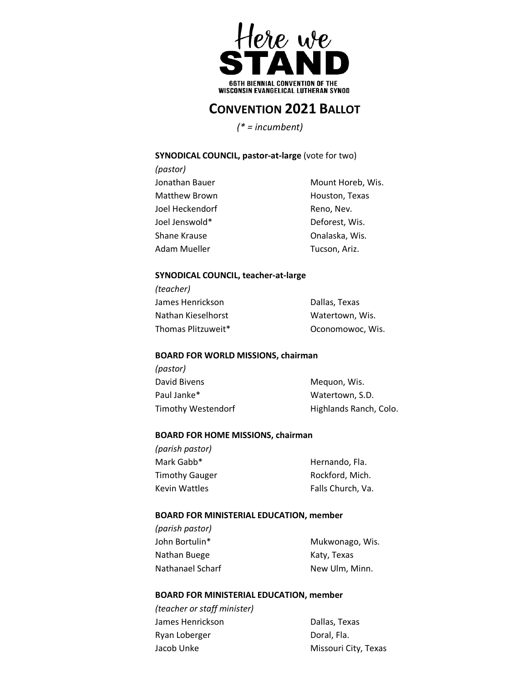

# **CONVENTION 2021 BALLOT**

 *(\* = incumbent)*

# **SYNODICAL COUNCIL, pastor-at-large** (vote for two)

| (pastor)        |                   |
|-----------------|-------------------|
| Jonathan Bauer  | Mount Horeb, Wis. |
| Matthew Brown   | Houston, Texas    |
| Joel Heckendorf | Reno, Nev.        |
| Joel Jenswold*  | Deforest, Wis.    |
| Shane Krause    | Onalaska, Wis.    |
| Adam Mueller    | Tucson, Ariz.     |
|                 |                   |

# **SYNODICAL COUNCIL, teacher-at-large**

| (teacher)          |                  |
|--------------------|------------------|
| James Henrickson   | Dallas, Texas    |
| Nathan Kieselhorst | Watertown, Wis.  |
| Thomas Plitzuweit* | Oconomowoc. Wis. |

# **BOARD FOR WORLD MISSIONS, chairman**

*(pastor)* David Bivens **Mequon**, Wis. Paul Janke\* Watertown, S.D. Timothy Westendorf **Highlands Ranch, Colo.** 

# **BOARD FOR HOME MISSIONS, chairman**

| (parish pastor)       |                   |
|-----------------------|-------------------|
| Mark Gabb*            | Hernando, Fla.    |
| <b>Timothy Gauger</b> | Rockford, Mich.   |
| Kevin Wattles         | Falls Church, Va. |

## **BOARD FOR MINISTERIAL EDUCATION, member**

| (parish pastor)  |                 |
|------------------|-----------------|
| John Bortulin*   | Mukwonago, Wis. |
| Nathan Buege     | Katy, Texas     |
| Nathanael Scharf | New Ulm, Minn.  |

# **BOARD FOR MINISTERIAL EDUCATION, member**

*(teacher or staff minister)* James Henrickson **Dallas**, Texas Ryan Loberger **Doral**, Fla. Jacob Unke Missouri City, Texas